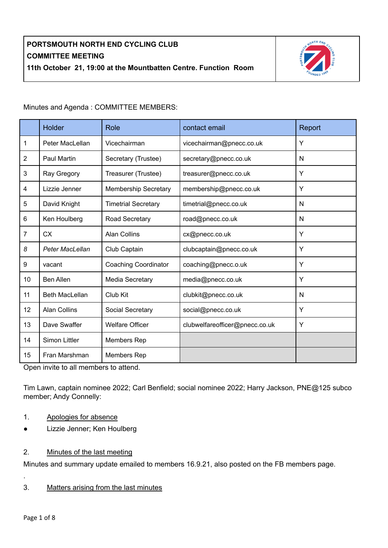

Minutes and Agenda : COMMITTEE MEMBERS:

|                | <b>Holder</b>                     | Role                        | contact email                  | Report |
|----------------|-----------------------------------|-----------------------------|--------------------------------|--------|
| 1              | Peter MacLellan                   | Vicechairman                | vicechairman@pnecc.co.uk       | Y      |
| $\overline{2}$ | <b>Paul Martin</b>                | Secretary (Trustee)         | secretary@pnecc.co.uk          | N      |
| 3              | Ray Gregory                       | Treasurer (Trustee)         | treasurer@pnecc.co.uk          | Y      |
| 4              | Lizzie Jenner                     | <b>Membership Secretary</b> | membership@pnecc.co.uk         | Y      |
| 5              | David Knight                      | <b>Timetrial Secretary</b>  | timetrial@pnecc.co.uk          | N      |
| 6              | Ken Houlberg                      | Road Secretary              | road@pnecc.co.uk               | N      |
| $\overline{7}$ | <b>CX</b>                         | <b>Alan Collins</b>         | cx@pnecc.co.uk                 | Y      |
| 8              | <b>Peter MacLellan</b>            | Club Captain                | clubcaptain@pnecc.co.uk        | Y      |
| 9              | vacant                            | <b>Coaching Coordinator</b> | coaching@pnecc.o.uk            | Y      |
| 10             | <b>Ben Allen</b>                  | Media Secretary             | media@pnecc.co.uk              | Y      |
| 11             | <b>Beth MacLellan</b><br>Club Kit |                             | clubkit@pnecc.co.uk            | N      |
| 12             | <b>Alan Collins</b>               | Social Secretary            | social@pnecc.co.uk             | Y      |
| 13             | Dave Swaffer                      | <b>Welfare Officer</b>      | clubwelfareofficer@pnecc.co.uk | Υ      |
| 14             | Simon Littler                     | Members Rep                 |                                |        |
| 15             | Fran Marshman                     | Members Rep                 |                                |        |

Open invite to all members to attend.

Tim Lawn, captain nominee 2022; Carl Benfield; social nominee 2022; Harry Jackson, PNE@125 subco member; Andy Connelly:

- 1. Apologies for absence
- Lizzie Jenner; Ken Houlberg
- 2. Minutes of the last meeting

Minutes and summary update emailed to members 16.9.21, also posted on the FB members page.

3. Matters arising from the last minutes

.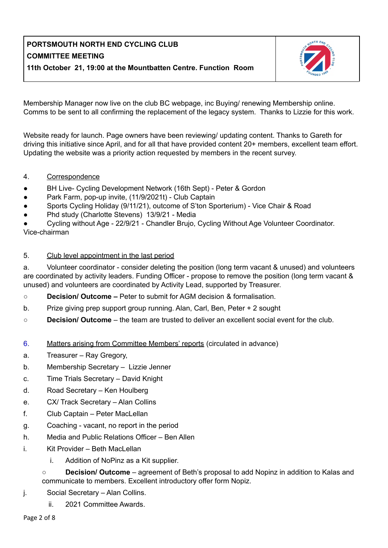

Membership Manager now live on the club BC webpage, inc Buying/ renewing Membership online. Comms to be sent to all confirming the replacement of the legacy system. Thanks to Lizzie for this work.

Website ready for launch. Page owners have been reviewing/ updating content. Thanks to Gareth for driving this initiative since April, and for all that have provided content 20+ members, excellent team effort. Updating the website was a priority action requested by members in the recent survey.

#### 4. Correspondence

- BH Live- Cycling Development Network (16th Sept) Peter & Gordon
- Park Farm, pop-up invite, (11/9/2021t) Club Captain
- Sports Cycling Holiday (9/11/21), outcome of S'ton Sporterium) Vice Chair & Road
- Phd study (Charlotte Stevens) 13/9/21 Media

Cycling without Age - 22/9/21 - Chandler Brujo, Cycling Without Age Volunteer Coordinator. Vice-chairman

#### 5. Club level appointment in the last period

a. Volunteer coordinator - consider deleting the position (long term vacant & unused) and volunteers are coordinated by activity leaders. Funding Officer - propose to remove the position (long term vacant & unused) and volunteers are coordinated by Activity Lead, supported by Treasurer.

- **○ Decision/ Outcome –** Peter to submit for AGM decision & formalisation.
- b. Prize giving prep support group running. Alan, Carl, Ben, Peter + 2 sought
- **Decision/ Outcome** the team are trusted to deliver an excellent social event for the club.
- 6. Matters arising from Committee Members' reports (circulated in advance)
- a. Treasurer Ray Gregory,
- b. Membership Secretary Lizzie Jenner
- c. Time Trials Secretary David Knight
- d. Road Secretary Ken Houlberg
- e. CX/ Track Secretary Alan Collins
- f. Club Captain Peter MacLellan
- g. Coaching vacant, no report in the period
- h. Media and Public Relations Officer Ben Allen
- i. Kit Provider Beth MacLellan
	- i. Addition of NoPinz as a Kit supplier.
	- **Decision/ Outcome** agreement of Beth's proposal to add Nopinz in addition to Kalas and communicate to members. Excellent introductory offer form Nopiz.
- j. Social Secretary Alan Collins.
	- ii. 2021 Committee Awards.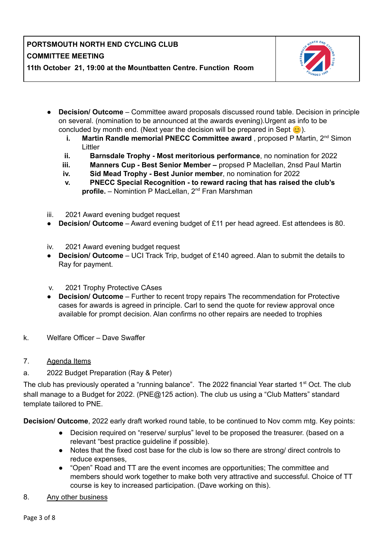

- **Decision/ Outcome** Committee award proposals discussed round table. Decision in principle on several. (nomination to be announced at the awards evening).Urgent as info to be concluded by month end. (Next year the decision will be prepared in Sept  $\circ$ ).
	- **i.** Martin Randle memorial PNECC Committee award, proposed P Martin, 2<sup>nd</sup> Simon Littler
	- **ii. Barnsdale Trophy - Most meritorious performance**, no nomination for 2022
	- **iii. Manners Cup - Best Senior Member –** propsed P Maclellan, 2nsd Paul Martin
	- **iv. Sid Mead Trophy - Best Junior member**, no nomination for 2022
	- **v. PNECC Special Recognition - to reward racing that has raised the club's** profile. - Nomintion P MacLellan, 2<sup>nd</sup> Fran Marshman
- iii. 2021 Award evening budget request
- **Decision/ Outcome** Award evening budget of £11 per head agreed. Est attendees is 80.
- iv. 2021 Award evening budget request
- **Decision/ Outcome** UCI Track Trip, budget of £140 agreed. Alan to submit the details to Ray for payment.
- v. 2021 Trophy Protective CAses
- **Decision/ Outcome** Further to recent tropy repairs The recommendation for Protective cases for awards is agreed in principle. Carl to send the quote for review approval once available for prompt decision. Alan confirms no other repairs are needed to trophies
- k. Welfare Officer Dave Swaffer
- 7. Agenda Items
- a. 2022 Budget Preparation (Ray & Peter)

The club has previously operated a "running balance". The 2022 financial Year started 1<sup>st</sup> Oct. The club shall manage to a Budget for 2022. (PNE@125 action). The club us using a "Club Matters" standard template tailored to PNE.

**Decision/ Outcome**, 2022 early draft worked round table, to be continued to Nov comm mtg. Key points:

- Decision required on "reserve/ surplus" level to be proposed the treasurer. (based on a relevant "best practice guideline if possible).
- Notes that the fixed cost base for the club is low so there are strong/ direct controls to reduce expenses,
- "Open" Road and TT are the event incomes are opportunities; The committee and members should work together to make both very attractive and successful. Choice of TT course is key to increased participation. (Dave working on this).
- 8. Any other business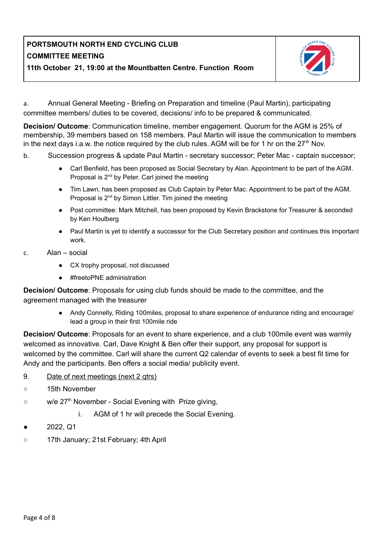

a. Annual General Meeting - Briefing on Preparation and timeline (Paul Martin), participating committee members/ duties to be covered, decisions/ info to be prepared & communicated.

**Decision/ Outcome**: Communication timeline, member engagement. Quorum for the AGM is 25% of membership, 39 members based on 158 members. Paul Martin will issue the communication to members in the next days i.a.w. the notice required by the club rules. AGM will be for 1 hr on the  $27<sup>th</sup>$  Nov.

- b. Succession progress & update Paul Martin secretary successor; Peter Mac captain successor;
	- Carl Benfield, has been proposed as Social Secretary by Alan. Appointment to be part of the AGM. Proposal is  $2^{nd}$  by Peter. Carl joined the meeting
	- Tim Lawn, has been proposed as Club Captain by Peter Mac. Appointment to be part of the AGM. Proposal is 2<sup>nd</sup> by Simon Littler. Tim joined the meeting
	- Post committee: Mark Mitchell, has been proposed by Kevin Brackstone for Treasurer & seconded by Ken Houlberg
	- Paul Martin is yet to identify a successor for the Club Secretary position and continues this important work.
- c. Alan social
	- CX trophy proposal, not discussed
	- #freetoPNE administration

**Decision/ Outcome**: Proposals for using club funds should be made to the committee, and the agreement managed with the treasurer

> • Andy Connelly, Riding 100miles, proposal to share experience of endurance riding and encourage/ lead a group in their first 100mile ride

**Decision/ Outcome**: Proposals for an event to share experience, and a club 100mile event was warmly welcomed as innovative. Carl, Dave Knight & Ben offer their support, any proposal for support is welcomed by the committee. Carl will share the current Q2 calendar of events to seek a best fit time for Andy and the participants. Ben offers a social media/ publicity event.

- 9. Date of next meetings (next 2 qtrs)
- 15th November
- w/e 27<sup>th</sup> November Social Evening with Prize giving,
	- i. AGM of 1 hr will precede the Social Evening.
- 2022, Q1
- 17th January; 21st February; 4th April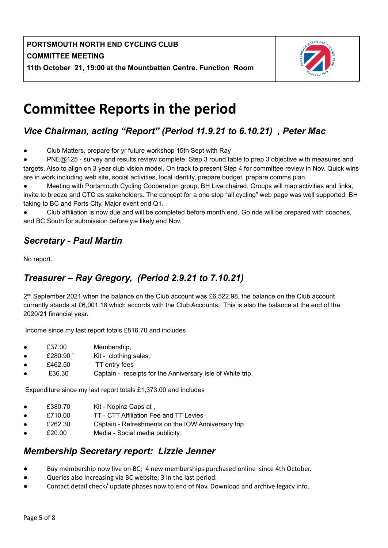

# **Committee Reports in the period**

# *Vice Chairman, acting "Report" (Period 11.9.21 to 6.10.21) , Peter Mac*

Club Matters, prepare for yr future workshop 15th Sept with Ray

PNE@125 - survey and results review complete. Step 3 round table to prep 3 objective with measures and targets. Also to align on 3 year club vision model. On track to present Step 4 for committee review in Nov. Quick wins are in work including web site, social activities, local identify, prepare budget, prepare comms plan.

Meeting with Portsmouth Cycling Cooperation group, BH Live chaired. Groups will map activities and links, invite to breeze and CTC as stakeholders. The concept for a one stop "all cycling" web page was well supported. BH taking to BC and Ports City. Major event end Q1.

Club affiliation is now due and will be completed before month end. Go ride will be prepared with coaches, and BC South for submission before y.e likely end Nov.

### *Secretary - Paul Martin*

No report.

## *Treasurer – Ray Gregory, (Period 2.9.21 to 7.10.21)*

2<sup>nd</sup> September 2021 when the balance on the Club account was £6,522.98, the balance on the Club account currently stands at £6,001.18 which accords with the Club Accounts. This is also the balance at the end of the 2020/21 financial year.

Income since my last report totals £816.70 and includes

- £37.00 Membership,
- £280.90 ` Kit clothing sales,
- £462.50 TT entry fees
- £36.30 Captain receipts for the Anniversary Isle of White trip.

Expenditure since my last report totals £1,373.00 and includes

- £380.70 Kit Nopinz Caps at ,
- £710.00 TT CTT Affiliation Fee and TT Levies,
- £262.30 Captain Refreshments on the IOW Anniversary trip
- £20.00 Media Social media publicity.

### *Membership Secretary report: Lizzie Jenner*

- Buy membership now live on BC; 4 new memberships purchased online since 4th October.
- Queries also increasing via BC website; 3 in the last period.
- Contact detail check/ update phases now to end of Nov. Download and archive legacy info.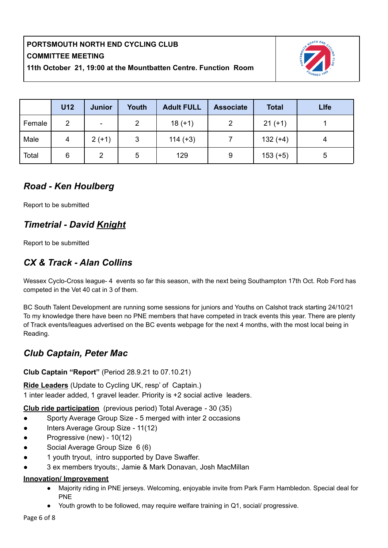

|        | <b>U12</b> | <b>Junior</b> | Youth | <b>Adult FULL</b> | <b>Associate</b> | <b>Total</b> | <b>Llfe</b> |
|--------|------------|---------------|-------|-------------------|------------------|--------------|-------------|
| Female | 2          |               | 2     | $18 (+1)$         | 2                | $21 (+1)$    |             |
| Male   | 4          | $2(+1)$       | 3     | $114 (+3)$        |                  | $132 (+4)$   |             |
| Total  | 6          | 2             | 5     | 129               | 9                | $153 (+5)$   | 5           |

### *Road - Ken Houlberg*

Report to be submitted

# *Timetrial - David Knight*

Report to be submitted

### *CX & Track - Alan Collins*

Wessex Cyclo-Cross league- 4 events so far this season, with the next being Southampton 17th Oct. Rob Ford has competed in the Vet 40 cat in 3 of them.

BC South Talent Development are running some sessions for juniors and Youths on Calshot track starting 24/10/21 To my knowledge there have been no PNE members that have competed in track events this year. There are plenty of Track events/leagues advertised on the BC events webpage for the next 4 months, with the most local being in Reading.

### *Club Captain, Peter Mac*

**Club Captain "Report"** (Period 28.9.21 to 07.10.21)

**Ride Leaders** (Update to Cycling UK, resp' of Captain.) 1 inter leader added, 1 gravel leader. Priority is +2 social active leaders.

**Club ride participation** (previous period) Total Average - 30 (35)

- Sporty Average Group Size 5 merged with inter 2 occasions
- Inters Average Group Size 11(12)
- Progressive (new) 10(12)
- Social Average Group Size 6 (6)
- 1 youth tryout, intro supported by Dave Swaffer.
- 3 ex members tryouts:, Jamie & Mark Donavan, Josh MacMillan

#### **Innovation/ Improvement**

- Majority riding in PNE jerseys. Welcoming, enjoyable invite from Park Farm Hambledon. Special deal for PNE
- Youth growth to be followed, may require welfare training in Q1, social/ progressive.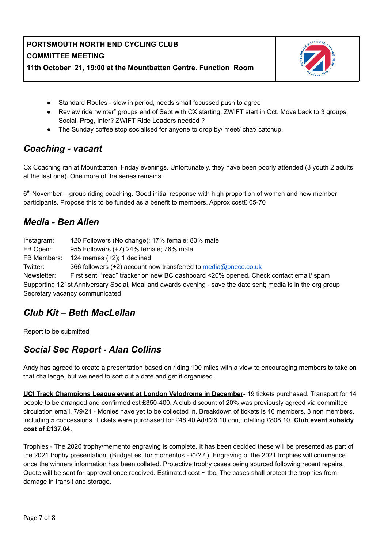

- Standard Routes slow in period, needs small focussed push to agree
- Review ride "winter" groups end of Sept with CX starting, ZWIFT start in Oct. Move back to 3 groups; Social, Prog, Inter? ZWIFT Ride Leaders needed ?
- The Sunday coffee stop socialised for anyone to drop by/ meet/ chat/ catchup.

### *Coaching - vacant*

Cx Coaching ran at Mountbatten, Friday evenings. Unfortunately, they have been poorly attended (3 youth 2 adults at the last one). One more of the series remains.

6<sup>th</sup> November – group riding coaching. Good initial response with high proportion of women and new member participants. Propose this to be funded as a benefit to members. Approx cost£ 65-70

### *Media - Ben Allen*

| Instagram:  | 420 Followers (No change); 17% female; 83% male                                                              |
|-------------|--------------------------------------------------------------------------------------------------------------|
| FB Open:    | 955 Followers (+7) 24% female; 76% male                                                                      |
| FB Members: | 124 memes $(+2)$ ; 1 declined                                                                                |
| Twitter:    | 366 followers (+2) account now transferred to media@pnecc.co.uk                                              |
| Newsletter: | First sent, "read" tracker on new BC dashboard <20% opened. Check contact email/ spam                        |
|             | Supporting 121st Anniversary Social, Meal and awards evening - save the date sent; media is in the org group |
|             | Secretary vacancy communicated                                                                               |

### *Club Kit – Beth MacLellan*

Report to be submitted

### *Social Sec Report - Alan Collins*

Andy has agreed to create a presentation based on riding 100 miles with a view to encouraging members to take on that challenge, but we need to sort out a date and get it organised.

**UCI Track Champions League event at London Velodrome in December**- 19 tickets purchased. Transport for 14 people to be arranged and confirmed est £350-400. A club discount of 20% was previously agreed via committee circulation email. 7/9/21 - Monies have yet to be collected in. Breakdown of tickets is 16 members, 3 non members, including 5 concessions. Tickets were purchased for £48.40 Ad/£26.10 con, totalling £808.10, **Club event subsidy cost of £137.04.**

Trophies - The 2020 trophy/memento engraving is complete. It has been decided these will be presented as part of the 2021 trophy presentation. (Budget est for momentos - £??? ). Engraving of the 2021 trophies will commence once the winners information has been collated. Protective trophy cases being sourced following recent repairs. Quote will be sent for approval once received. Estimated cost ~ tbc. The cases shall protect the trophies from damage in transit and storage.